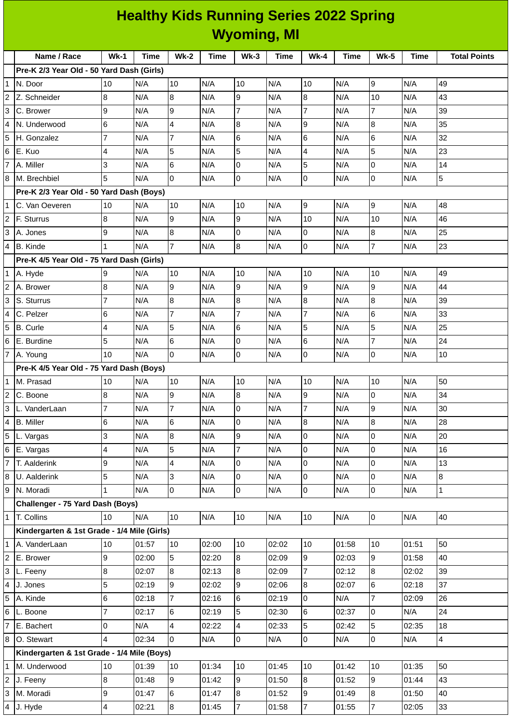|              | <b>Healthy Kids Running Series 2022 Spring</b><br><b>Wyoming, MI</b> |                |       |                |             |                  |             |                  |       |                  |       |                     |
|--------------|----------------------------------------------------------------------|----------------|-------|----------------|-------------|------------------|-------------|------------------|-------|------------------|-------|---------------------|
|              |                                                                      |                |       |                |             |                  |             |                  |       |                  |       |                     |
|              | Name / Race                                                          | $Wk-1$         | Time  | $Wk-2$         | <b>Time</b> | $Wk-3$           | <b>Time</b> | $Wk-4$           | Time  | <b>Wk-5</b>      | Time  | <b>Total Points</b> |
|              | Pre-K 2/3 Year Old - 50 Yard Dash (Girls)                            |                |       |                |             |                  |             |                  |       |                  |       |                     |
| 1            | N. Door                                                              | 10             | N/A   | 10             | N/A         | 10               | N/A         | 10               | N/A   | 9                | N/A   | 49                  |
| 2            | Z. Schneider                                                         | 8              | N/A   | 8              | N/A         | 9                | N/A         | $\bf{8}$         | N/A   | 10               | N/A   | 43                  |
| 3            | C. Brower                                                            | 9              | N/A   | 9              | N/A         | $\overline{7}$   | N/A         | $\overline{7}$   | N/A   | $\overline{7}$   | N/A   | 39                  |
| 4            | N. Underwood                                                         | 6              | N/A   | 4              | N/A         | 8                | N/A         | 9                | N/A   | 8                | N/A   | 35                  |
| 5            | H. Gonzalez                                                          | 7              | N/A   | $\overline{7}$ | N/A         | 6                | N/A         | 6                | N/A   | 6                | N/A   | 32                  |
| 6            | E. Kuo                                                               | 4              | N/A   | 5              | N/A         | 5                | N/A         | 4                | N/A   | 5                | N/A   | 23                  |
| 7            | A. Miller                                                            | 3              | N/A   | 6              | N/A         | 0                | N/A         | 5                | N/A   | 0                | N/A   | 14                  |
| 8            | M. Brechbiel                                                         | 5              | N/A   | 0              | N/A         | 0                | N/A         | 0                | N/A   | 0                | N/A   | 5                   |
|              | Pre-K 2/3 Year Old - 50 Yard Dash (Boys)                             |                |       |                |             |                  |             |                  |       |                  |       |                     |
|              | C. Van Oeveren                                                       | 10             | N/A   | 10             | N/A         | 10               | N/A         | $\boldsymbol{9}$ | N/A   | 9                | N/A   | 48                  |
| 2            | F. Sturrus                                                           | 8              | N/A   | 9              | N/A         | 9                | N/A         | 10               | N/A   | 10               | N/A   | 46                  |
| 3            | A. Jones                                                             | 9              | N/A   | 8              | N/A         | $\overline{0}$   | N/A         | 0                | N/A   | 8                | N/A   | 25                  |
| 4            | <b>B.</b> Kinde                                                      | 1              | N/A   | $\overline{7}$ | N/A         | 8                | N/A         | 0                | N/A   | 7                | N/A   | 23                  |
|              | Pre-K 4/5 Year Old - 75 Yard Dash (Girls)                            |                |       |                |             |                  |             |                  |       |                  |       |                     |
| 1            | A. Hyde                                                              | 9              | N/A   | 10             | N/A         | 10               | N/A         | 10               | N/A   | 10               | N/A   | 49                  |
| 2            | A. Brower                                                            | 8              | N/A   | 9              | N/A         | 9                | N/A         | 9                | N/A   | 9                | N/A   | 44                  |
| 3            | S. Sturrus                                                           | 7              | N/A   | 8              | N/A         | $\bf{8}$         | N/A         | $\bf{8}$         | N/A   | $\boldsymbol{8}$ | N/A   | 39                  |
| 4            | C. Pelzer                                                            | 6              | N/A   | $\overline{7}$ | N/A         | $\overline{7}$   | N/A         | 7                | N/A   | 6                | N/A   | 33                  |
| 5            | <b>B.</b> Curle                                                      | 4              | N/A   | 5              | N/A         | 6                | N/A         | 5                | N/A   | 5                | N/A   | 25                  |
| 6            | E. Burdine                                                           | 5              | N/A   | 6              | N/A         | 0                | N/A         | 6                | N/A   | $\overline{7}$   | N/A   | 24                  |
| 7            | A. Young                                                             | 10             | N/A   | 0              | N/A         | 0                | N/A         | 0                | N/A   | 0                | N/A   | 10                  |
|              | Pre-K 4/5 Year Old - 75 Yard Dash (Boys)                             |                |       |                |             |                  |             |                  |       |                  |       |                     |
| 1            | M. Prasad                                                            | 10             | N/A   | 10             | N/A         | 10               | N/A         | 10               | N/A   | 10               | N/A   | 50                  |
| 2            | C. Boone                                                             | 8              | N/A   | 9              | N/A         | 8                | N/A         | 9                | N/A   | 0                | N/A   | 34                  |
| 3            | L. VanderLaan                                                        | $\overline{7}$ | N/A   | $\overline{7}$ | N/A         | $\mathsf{O}$     | N/A         | $\overline{7}$   | N/A   | 9                | N/A   | 30                  |
| 4            | <b>B.</b> Miller                                                     | 6              | N/A   | 6              | N/A         | $\overline{0}$   | N/A         | 8                | N/A   | 8                | N/A   | 28                  |
| 5            | L. Vargas                                                            | 3              | N/A   | 8              | N/A         | 9                | N/A         | $\overline{0}$   | N/A   | 0                | N/A   | 20                  |
| 6            | E. Vargas                                                            | 4              | N/A   | 5              | N/A         | $\overline{7}$   | N/A         | $\pmb{0}$        | N/A   | 0                | N/A   | 16                  |
| 7            | T. Aalderink                                                         | 9              | N/A   | $\overline{4}$ | N/A         | O                | N/A         | $\overline{0}$   | N/A   | 0                | N/A   | 13                  |
| 8            | U. Aalderink                                                         | 5              | N/A   | 3              | N/A         | $\overline{0}$   | N/A         | $\overline{0}$   | N/A   | 0                | N/A   | 8                   |
| 9            | N. Moradi                                                            | $\mathbf{1}$   | N/A   | $\overline{0}$ | N/A         | $\overline{0}$   | N/A         | $\overline{0}$   | N/A   | 0                | N/A   | $\mathbf{1}$        |
|              | Challenger - 75 Yard Dash (Boys)                                     |                |       |                |             |                  |             |                  |       |                  |       |                     |
| $\mathbf{1}$ | T. Collins                                                           | 10             | N/A   | 10             | N/A         | 10               | N/A         | 10               | N/A   | $\overline{0}$   | N/A   | 40                  |
|              | Kindergarten & 1st Grade - 1/4 Mile (Girls)                          |                |       |                |             |                  |             |                  |       |                  |       |                     |
| 1            | A. VanderLaan                                                        | 10             | 01:57 | 10             | 02:00       | 10               | 02:02       | 10               | 01:58 | 10               | 01:51 | 50                  |
| 2            | E. Brower                                                            | 9              | 02:00 | 5              | 02:20       | $\overline{8}$   | 02:09       | 9                | 02:03 | 9                | 01:58 | 40                  |
| 3            | L. Feeny                                                             | 8              | 02:07 | 8              | 02:13       | $\boldsymbol{8}$ | 02:09       | $\overline{7}$   | 02:12 | 8                | 02:02 | 39                  |
| 4            | J. Jones                                                             | 5              | 02:19 | 9              | 02:02       | 9                | 02:06       | 8                | 02:07 | 6                | 02:18 | 37                  |
| 5            | A. Kinde                                                             | 6              | 02:18 | $\overline{7}$ | 02:16       | 6                | 02:19       | $\mathsf{O}$     | N/A   | $\overline{7}$   | 02:09 | 26                  |
| 6            | L. Boone                                                             | 7              | 02:17 | 6              | 02:19       | 5                | 02:30       | 6                | 02:37 | 0                | N/A   | 24                  |
| 7            | E. Bachert                                                           | 0              | N/A   | 4              | 02:22       | 4                | 02:33       | 5                | 02:42 | 5                | 02:35 | 18                  |
| 8            | O. Stewart                                                           | 4              | 02:34 | 0              | N/A         | $\mathsf{O}$     | N/A         | $\overline{0}$   | N/A   | 0                | N/A   | $\overline{4}$      |
|              | Kindergarten & 1st Grade - 1/4 Mile (Boys)                           |                |       |                |             |                  |             |                  |       |                  |       |                     |
| 1            | M. Underwood                                                         | 10             | 01:39 | 10             | 01:34       | 10               | 01:45       | 10               | 01:42 | 10               | 01:35 | 50                  |
| 2            | J. Feeny                                                             | 8              | 01:48 | 9              | 01:42       | 9                | 01:50       | $8\,$            | 01:52 | 9                | 01:44 | 43                  |
| 3            | M. Moradi                                                            | 9              | 01:47 | 6              | 01:47       | 8                | 01:52       | 9                | 01:49 | 8                | 01:50 | 40                  |
|              | 4 J. Hyde                                                            | 4              | 02:21 | $\bf{8}$       | 01:45       | $\overline{7}$   | 01:58       | $\overline{7}$   | 01:55 | $\overline{7}$   | 02:05 | 33                  |